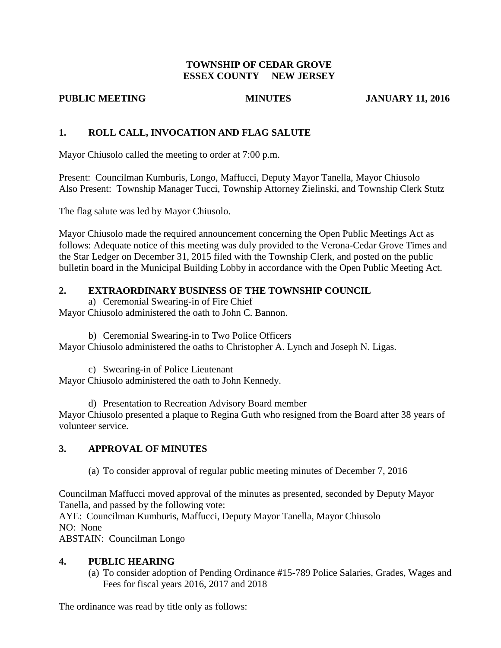## **TOWNSHIP OF CEDAR GROVE ESSEX COUNTY NEW JERSEY**

## **PUBLIC MEETING MINUTES JANUARY 11, 2016**

## **1. ROLL CALL, INVOCATION AND FLAG SALUTE**

Mayor Chiusolo called the meeting to order at 7:00 p.m.

Present: Councilman Kumburis, Longo, Maffucci, Deputy Mayor Tanella, Mayor Chiusolo Also Present: Township Manager Tucci, Township Attorney Zielinski, and Township Clerk Stutz

The flag salute was led by Mayor Chiusolo.

Mayor Chiusolo made the required announcement concerning the Open Public Meetings Act as follows: Adequate notice of this meeting was duly provided to the Verona-Cedar Grove Times and the Star Ledger on December 31, 2015 filed with the Township Clerk, and posted on the public bulletin board in the Municipal Building Lobby in accordance with the Open Public Meeting Act.

# **2. EXTRAORDINARY BUSINESS OF THE TOWNSHIP COUNCIL**

a) Ceremonial Swearing-in of Fire Chief

Mayor Chiusolo administered the oath to John C. Bannon.

b) Ceremonial Swearing-in to Two Police Officers Mayor Chiusolo administered the oaths to Christopher A. Lynch and Joseph N. Ligas.

c) Swearing-in of Police Lieutenant Mayor Chiusolo administered the oath to John Kennedy.

d) Presentation to Recreation Advisory Board member Mayor Chiusolo presented a plaque to Regina Guth who resigned from the Board after 38 years of volunteer service.

## **3. APPROVAL OF MINUTES**

(a) To consider approval of regular public meeting minutes of December 7, 2016

Councilman Maffucci moved approval of the minutes as presented, seconded by Deputy Mayor Tanella, and passed by the following vote:

AYE: Councilman Kumburis, Maffucci, Deputy Mayor Tanella, Mayor Chiusolo NO: None

ABSTAIN: Councilman Longo

## **4. PUBLIC HEARING**

(a) To consider adoption of Pending Ordinance #15-789 Police Salaries, Grades, Wages and Fees for fiscal years 2016, 2017 and 2018

The ordinance was read by title only as follows: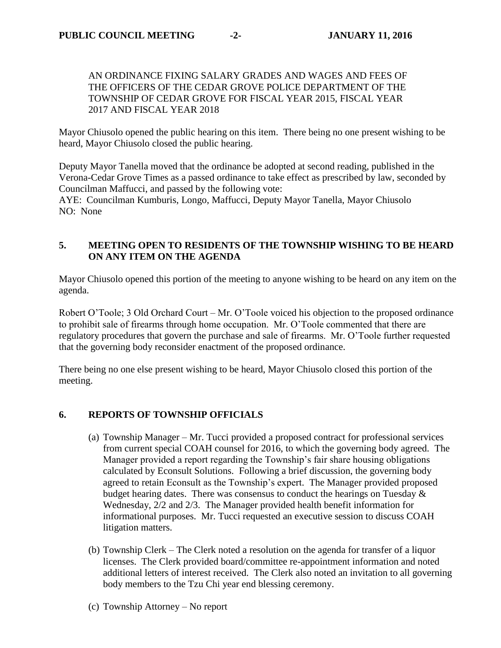## AN ORDINANCE FIXING SALARY GRADES AND WAGES AND FEES OF THE OFFICERS OF THE CEDAR GROVE POLICE DEPARTMENT OF THE TOWNSHIP OF CEDAR GROVE FOR FISCAL YEAR 2015, FISCAL YEAR 2017 AND FISCAL YEAR 2018

Mayor Chiusolo opened the public hearing on this item. There being no one present wishing to be heard, Mayor Chiusolo closed the public hearing.

Deputy Mayor Tanella moved that the ordinance be adopted at second reading, published in the Verona-Cedar Grove Times as a passed ordinance to take effect as prescribed by law, seconded by Councilman Maffucci, and passed by the following vote:

AYE: Councilman Kumburis, Longo, Maffucci, Deputy Mayor Tanella, Mayor Chiusolo NO: None

## **5. MEETING OPEN TO RESIDENTS OF THE TOWNSHIP WISHING TO BE HEARD ON ANY ITEM ON THE AGENDA**

Mayor Chiusolo opened this portion of the meeting to anyone wishing to be heard on any item on the agenda.

Robert O'Toole; 3 Old Orchard Court – Mr. O'Toole voiced his objection to the proposed ordinance to prohibit sale of firearms through home occupation. Mr. O'Toole commented that there are regulatory procedures that govern the purchase and sale of firearms. Mr. O'Toole further requested that the governing body reconsider enactment of the proposed ordinance.

There being no one else present wishing to be heard, Mayor Chiusolo closed this portion of the meeting.

## **6. REPORTS OF TOWNSHIP OFFICIALS**

- (a) Township Manager Mr. Tucci provided a proposed contract for professional services from current special COAH counsel for 2016, to which the governing body agreed. The Manager provided a report regarding the Township's fair share housing obligations calculated by Econsult Solutions. Following a brief discussion, the governing body agreed to retain Econsult as the Township's expert. The Manager provided proposed budget hearing dates. There was consensus to conduct the hearings on Tuesday  $\&$ Wednesday, 2/2 and 2/3. The Manager provided health benefit information for informational purposes. Mr. Tucci requested an executive session to discuss COAH litigation matters.
- (b) Township Clerk The Clerk noted a resolution on the agenda for transfer of a liquor licenses. The Clerk provided board/committee re-appointment information and noted additional letters of interest received. The Clerk also noted an invitation to all governing body members to the Tzu Chi year end blessing ceremony.
- (c) Township Attorney No report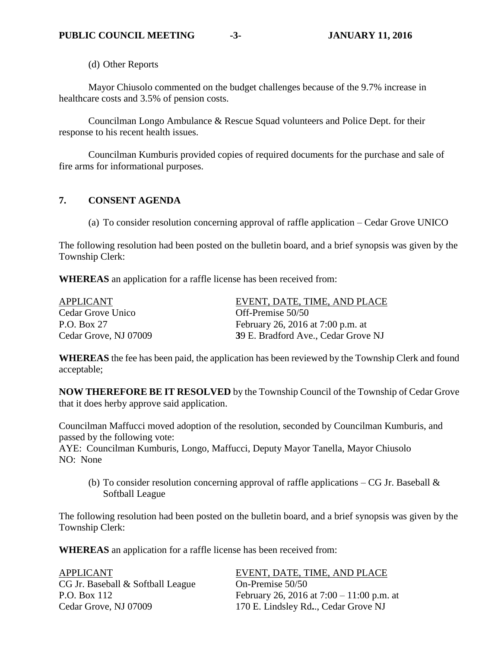(d) Other Reports

Mayor Chiusolo commented on the budget challenges because of the 9.7% increase in healthcare costs and 3.5% of pension costs.

Councilman Longo Ambulance & Rescue Squad volunteers and Police Dept. for their response to his recent health issues.

Councilman Kumburis provided copies of required documents for the purchase and sale of fire arms for informational purposes.

## **7. CONSENT AGENDA**

(a) To consider resolution concerning approval of raffle application – Cedar Grove UNICO

The following resolution had been posted on the bulletin board, and a brief synopsis was given by the Township Clerk:

**WHEREAS** an application for a raffle license has been received from:

APPLICANT EVENT, DATE, TIME, AND PLACE Cedar Grove Unico **Off-Premise** 50/50 P.O. Box 27 February 26, 2016 at 7:00 p.m. at Cedar Grove, NJ 07009 **3**9 E. Bradford Ave., Cedar Grove NJ

**WHEREAS** the fee has been paid, the application has been reviewed by the Township Clerk and found acceptable;

**NOW THEREFORE BE IT RESOLVED** by the Township Council of the Township of Cedar Grove that it does herby approve said application.

Councilman Maffucci moved adoption of the resolution, seconded by Councilman Kumburis, and passed by the following vote:

AYE: Councilman Kumburis, Longo, Maffucci, Deputy Mayor Tanella, Mayor Chiusolo NO: None

(b) To consider resolution concerning approval of raffle applications – CG Jr. Baseball  $\&$ Softball League

The following resolution had been posted on the bulletin board, and a brief synopsis was given by the Township Clerk:

**WHEREAS** an application for a raffle license has been received from:

| <b>APPLICANT</b>                  | EVENT, DATE, TIME, AND PLACE                |
|-----------------------------------|---------------------------------------------|
| CG Jr. Baseball & Softball League | On-Premise 50/50                            |
| P.O. Box 112                      | February 26, 2016 at $7:00 - 11:00$ p.m. at |
| Cedar Grove, NJ 07009             | 170 E. Lindsley Rd, Cedar Grove NJ          |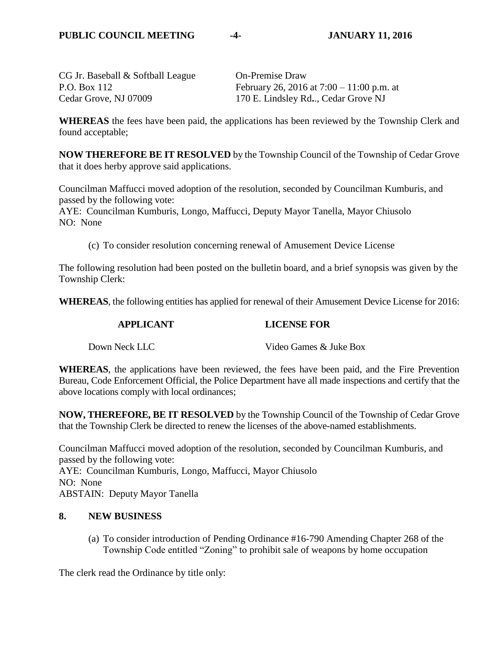CG Jr. Baseball & Softball League On-Premise Draw P.O. Box 112 February 26, 2016 at 7:00 – 11:00 p.m. at Cedar Grove, NJ 07009 170 E. Lindsley Rd**.**., Cedar Grove NJ

**WHEREAS** the fees have been paid, the applications has been reviewed by the Township Clerk and found acceptable;

**NOW THEREFORE BE IT RESOLVED** by the Township Council of the Township of Cedar Grove that it does herby approve said applications.

Councilman Maffucci moved adoption of the resolution, seconded by Councilman Kumburis, and passed by the following vote:

AYE: Councilman Kumburis, Longo, Maffucci, Deputy Mayor Tanella, Mayor Chiusolo NO: None

(c) To consider resolution concerning renewal of Amusement Device License

The following resolution had been posted on the bulletin board, and a brief synopsis was given by the Township Clerk:

**WHEREAS**, the following entities has applied for renewal of their Amusement Device License for 2016:

## **APPLICANT LICENSE FOR**

Down Neck LLC Video Games & Juke Box

**WHEREAS**, the applications have been reviewed, the fees have been paid, and the Fire Prevention Bureau, Code Enforcement Official, the Police Department have all made inspections and certify that the above locations comply with local ordinances;

**NOW, THEREFORE, BE IT RESOLVED** by the Township Council of the Township of Cedar Grove that the Township Clerk be directed to renew the licenses of the above-named establishments.

Councilman Maffucci moved adoption of the resolution, seconded by Councilman Kumburis, and passed by the following vote: AYE: Councilman Kumburis, Longo, Maffucci, Mayor Chiusolo NO: None ABSTAIN: Deputy Mayor Tanella

#### **8. NEW BUSINESS**

(a) To consider introduction of Pending Ordinance #16-790 Amending Chapter 268 of the Township Code entitled "Zoning" to prohibit sale of weapons by home occupation

The clerk read the Ordinance by title only: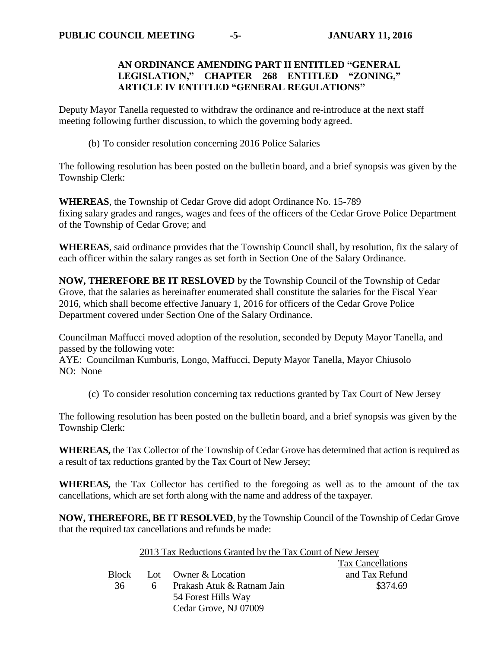## **AN ORDINANCE AMENDING PART II ENTITLED "GENERAL LEGISLATION," CHAPTER 268 ENTITLED "ZONING," ARTICLE IV ENTITLED "GENERAL REGULATIONS"**

Deputy Mayor Tanella requested to withdraw the ordinance and re-introduce at the next staff meeting following further discussion, to which the governing body agreed.

(b) To consider resolution concerning 2016 Police Salaries

The following resolution has been posted on the bulletin board, and a brief synopsis was given by the Township Clerk:

**WHEREAS**, the Township of Cedar Grove did adopt Ordinance No. 15-789 fixing salary grades and ranges, wages and fees of the officers of the Cedar Grove Police Department of the Township of Cedar Grove; and

**WHEREAS**, said ordinance provides that the Township Council shall, by resolution, fix the salary of each officer within the salary ranges as set forth in Section One of the Salary Ordinance.

**NOW, THEREFORE BE IT RESLOVED** by the Township Council of the Township of Cedar Grove, that the salaries as hereinafter enumerated shall constitute the salaries for the Fiscal Year 2016, which shall become effective January 1, 2016 for officers of the Cedar Grove Police Department covered under Section One of the Salary Ordinance.

Councilman Maffucci moved adoption of the resolution, seconded by Deputy Mayor Tanella, and passed by the following vote:

AYE: Councilman Kumburis, Longo, Maffucci, Deputy Mayor Tanella, Mayor Chiusolo NO: None

(c) To consider resolution concerning tax reductions granted by Tax Court of New Jersey

The following resolution has been posted on the bulletin board, and a brief synopsis was given by the Township Clerk:

**WHEREAS,** the Tax Collector of the Township of Cedar Grove has determined that action is required as a result of tax reductions granted by the Tax Court of New Jersey;

**WHEREAS,** the Tax Collector has certified to the foregoing as well as to the amount of the tax cancellations, which are set forth along with the name and address of the taxpayer.

**NOW, THEREFORE, BE IT RESOLVED**, by the Township Council of the Township of Cedar Grove that the required tax cancellations and refunds be made:

|       |   | 2013 Tax Reductions Granted by the Tax Court of New Jersey |                          |
|-------|---|------------------------------------------------------------|--------------------------|
|       |   |                                                            | <b>Tax Cancellations</b> |
| Block |   | Lot Owner & Location                                       | and Tax Refund           |
| 36    | h | Prakash Atuk & Ratnam Jain                                 | \$374.69                 |
|       |   | 54 Forest Hills Way                                        |                          |
|       |   | Cedar Grove, NJ 07009                                      |                          |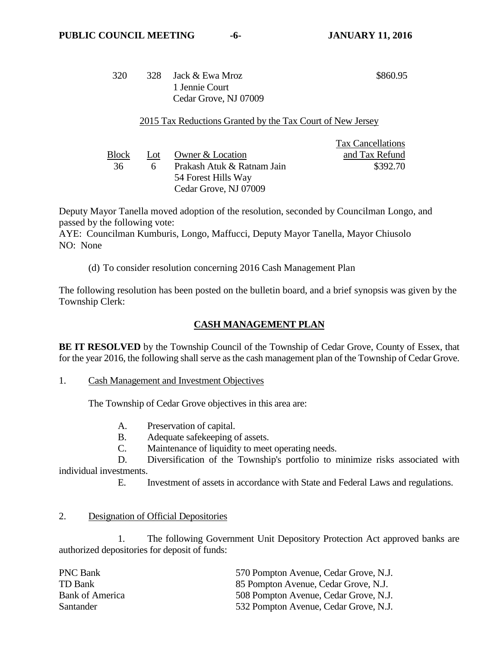Tax Cancellations

#### 320 328 Jack & Ewa Mroz 1 Jennie Court Cedar Grove, NJ 07009 \$860.95

#### 2015 Tax Reductions Granted by the Tax Court of New Jersey

|       |          |                            | тая сансенаноны |
|-------|----------|----------------------------|-----------------|
| Block | Lot      | Owner & Location           | and Tax Refund  |
| 36    | <b>6</b> | Prakash Atuk & Ratnam Jain | \$392.70        |
|       |          | 54 Forest Hills Way        |                 |
|       |          | Cedar Grove, NJ 07009      |                 |

Deputy Mayor Tanella moved adoption of the resolution, seconded by Councilman Longo, and passed by the following vote:

AYE: Councilman Kumburis, Longo, Maffucci, Deputy Mayor Tanella, Mayor Chiusolo NO: None

(d) To consider resolution concerning 2016 Cash Management Plan

The following resolution has been posted on the bulletin board, and a brief synopsis was given by the Township Clerk:

## **CASH MANAGEMENT PLAN**

**BE IT RESOLVED** by the Township Council of the Township of Cedar Grove, County of Essex, that for the year 2016, the following shall serve as the cash management plan of the Township of Cedar Grove.

1. Cash Management and Investment Objectives

The Township of Cedar Grove objectives in this area are:

- A. Preservation of capital.
- B. Adequate safekeeping of assets.
- C. Maintenance of liquidity to meet operating needs.

D. Diversification of the Township's portfolio to minimize risks associated with individual investments.

E. Investment of assets in accordance with State and Federal Laws and regulations.

#### 2. Designation of Official Depositories

1. The following Government Unit Depository Protection Act approved banks are authorized depositories for deposit of funds:

| <b>PNC Bank</b>        | 570 Pompton Avenue, Cedar Grove, N.J. |
|------------------------|---------------------------------------|
| TD Bank                | 85 Pompton Avenue, Cedar Grove, N.J.  |
| <b>Bank of America</b> | 508 Pompton Avenue, Cedar Grove, N.J. |
| Santander              | 532 Pompton Avenue, Cedar Grove, N.J. |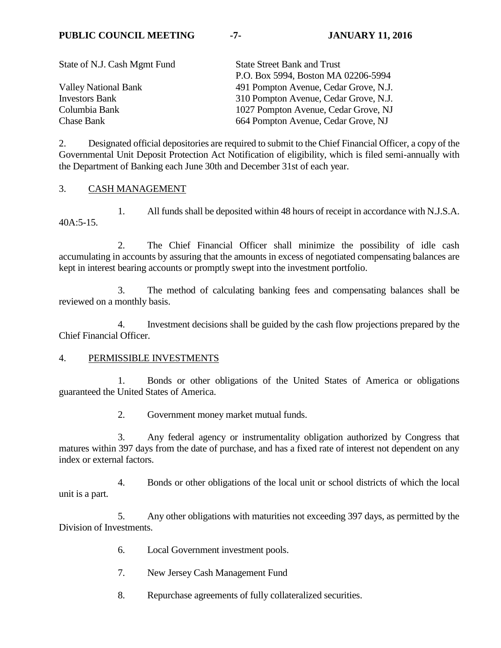| <b>State Street Bank and Trust</b>    |
|---------------------------------------|
| P.O. Box 5994, Boston MA 02206-5994   |
| 491 Pompton Avenue, Cedar Grove, N.J. |
| 310 Pompton Avenue, Cedar Grove, N.J. |
| 1027 Pompton Avenue, Cedar Grove, NJ  |
| 664 Pompton Avenue, Cedar Grove, NJ   |
|                                       |

2. Designated official depositories are required to submit to the Chief Financial Officer, a copy of the Governmental Unit Deposit Protection Act Notification of eligibility, which is filed semi-annually with the Department of Banking each June 30th and December 31st of each year.

## 3. CASH MANAGEMENT

1. All funds shall be deposited within 48 hours of receipt in accordance with N.J.S.A.  $40A:5-15.$ 

2. The Chief Financial Officer shall minimize the possibility of idle cash accumulating in accounts by assuring that the amounts in excess of negotiated compensating balances are kept in interest bearing accounts or promptly swept into the investment portfolio.

3. The method of calculating banking fees and compensating balances shall be reviewed on a monthly basis.

4. Investment decisions shall be guided by the cash flow projections prepared by the Chief Financial Officer.

#### 4. PERMISSIBLE INVESTMENTS

1. Bonds or other obligations of the United States of America or obligations guaranteed the United States of America.

2. Government money market mutual funds.

3. Any federal agency or instrumentality obligation authorized by Congress that matures within 397 days from the date of purchase, and has a fixed rate of interest not dependent on any index or external factors.

4. Bonds or other obligations of the local unit or school districts of which the local unit is a part.

5. Any other obligations with maturities not exceeding 397 days, as permitted by the Division of Investments.

- 6. Local Government investment pools.
- 7. New Jersey Cash Management Fund
- 8. Repurchase agreements of fully collateralized securities.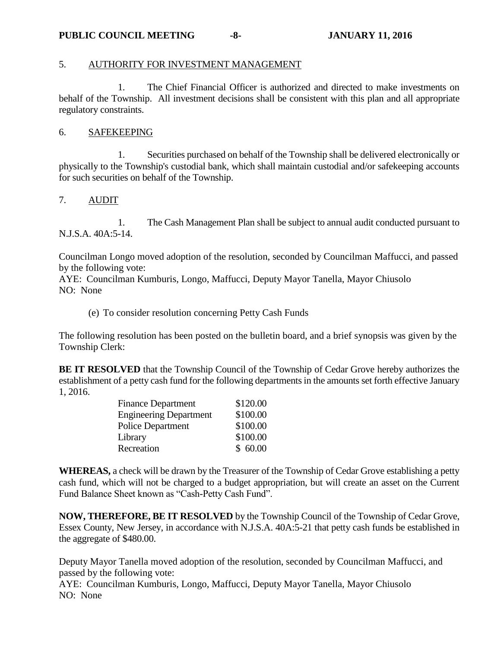#### 5. AUTHORITY FOR INVESTMENT MANAGEMENT

1. The Chief Financial Officer is authorized and directed to make investments on behalf of the Township. All investment decisions shall be consistent with this plan and all appropriate regulatory constraints.

#### 6. SAFEKEEPING

1. Securities purchased on behalf of the Township shall be delivered electronically or physically to the Township's custodial bank, which shall maintain custodial and/or safekeeping accounts for such securities on behalf of the Township.

#### 7. AUDIT

1. The Cash Management Plan shall be subject to annual audit conducted pursuant to N.J.S.A. 40A:5-14.

Councilman Longo moved adoption of the resolution, seconded by Councilman Maffucci, and passed by the following vote:

AYE: Councilman Kumburis, Longo, Maffucci, Deputy Mayor Tanella, Mayor Chiusolo NO: None

(e) To consider resolution concerning Petty Cash Funds

The following resolution has been posted on the bulletin board, and a brief synopsis was given by the Township Clerk:

**BE IT RESOLVED** that the Township Council of the Township of Cedar Grove hereby authorizes the establishment of a petty cash fund for the following departments in the amounts set forth effective January 1, 2016.

| <b>Finance Department</b>     | \$120.00 |
|-------------------------------|----------|
| <b>Engineering Department</b> | \$100.00 |
| <b>Police Department</b>      | \$100.00 |
| Library                       | \$100.00 |
| Recreation                    | \$60.00  |

**WHEREAS,** a check will be drawn by the Treasurer of the Township of Cedar Grove establishing a petty cash fund, which will not be charged to a budget appropriation, but will create an asset on the Current Fund Balance Sheet known as "Cash-Petty Cash Fund".

**NOW, THEREFORE, BE IT RESOLVED** by the Township Council of the Township of Cedar Grove, Essex County, New Jersey, in accordance with N.J.S.A. 40A:5-21 that petty cash funds be established in the aggregate of \$480.00.

Deputy Mayor Tanella moved adoption of the resolution, seconded by Councilman Maffucci, and passed by the following vote:

AYE: Councilman Kumburis, Longo, Maffucci, Deputy Mayor Tanella, Mayor Chiusolo NO: None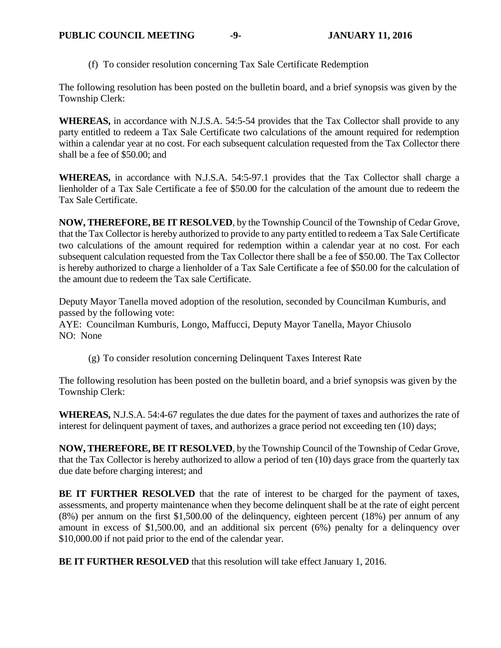(f) To consider resolution concerning Tax Sale Certificate Redemption

The following resolution has been posted on the bulletin board, and a brief synopsis was given by the Township Clerk:

**WHEREAS,** in accordance with N.J.S.A. 54:5-54 provides that the Tax Collector shall provide to any party entitled to redeem a Tax Sale Certificate two calculations of the amount required for redemption within a calendar year at no cost. For each subsequent calculation requested from the Tax Collector there shall be a fee of \$50.00; and

**WHEREAS,** in accordance with N.J.S.A. 54:5-97.1 provides that the Tax Collector shall charge a lienholder of a Tax Sale Certificate a fee of \$50.00 for the calculation of the amount due to redeem the Tax Sale Certificate.

**NOW, THEREFORE, BE IT RESOLVED**, by the Township Council of the Township of Cedar Grove, that the Tax Collector is hereby authorized to provide to any party entitled to redeem a Tax Sale Certificate two calculations of the amount required for redemption within a calendar year at no cost. For each subsequent calculation requested from the Tax Collector there shall be a fee of \$50.00. The Tax Collector is hereby authorized to charge a lienholder of a Tax Sale Certificate a fee of \$50.00 for the calculation of the amount due to redeem the Tax sale Certificate.

Deputy Mayor Tanella moved adoption of the resolution, seconded by Councilman Kumburis, and passed by the following vote:

AYE: Councilman Kumburis, Longo, Maffucci, Deputy Mayor Tanella, Mayor Chiusolo NO: None

(g) To consider resolution concerning Delinquent Taxes Interest Rate

The following resolution has been posted on the bulletin board, and a brief synopsis was given by the Township Clerk:

**WHEREAS,** N.J.S.A. 54:4-67 regulates the due dates for the payment of taxes and authorizes the rate of interest for delinquent payment of taxes, and authorizes a grace period not exceeding ten (10) days;

**NOW, THEREFORE, BE IT RESOLVED**, by the Township Council of the Township of Cedar Grove, that the Tax Collector is hereby authorized to allow a period of ten (10) days grace from the quarterly tax due date before charging interest; and

**BE IT FURTHER RESOLVED** that the rate of interest to be charged for the payment of taxes, assessments, and property maintenance when they become delinquent shall be at the rate of eight percent (8%) per annum on the first \$1,500.00 of the delinquency, eighteen percent (18%) per annum of any amount in excess of \$1,500.00, and an additional six percent (6%) penalty for a delinquency over \$10,000.00 if not paid prior to the end of the calendar year.

**BE IT FURTHER RESOLVED** that this resolution will take effect January 1, 2016.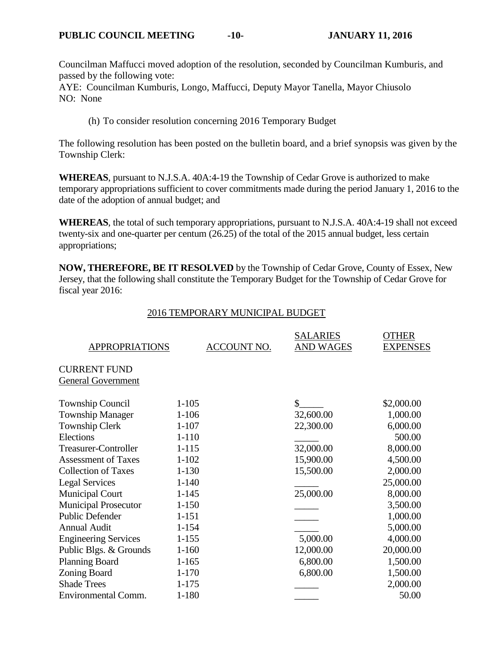Councilman Maffucci moved adoption of the resolution, seconded by Councilman Kumburis, and passed by the following vote:

AYE: Councilman Kumburis, Longo, Maffucci, Deputy Mayor Tanella, Mayor Chiusolo NO: None

(h) To consider resolution concerning 2016 Temporary Budget

The following resolution has been posted on the bulletin board, and a brief synopsis was given by the Township Clerk:

**WHEREAS**, pursuant to N.J.S.A. 40A:4-19 the Township of Cedar Grove is authorized to make temporary appropriations sufficient to cover commitments made during the period January 1, 2016 to the date of the adoption of annual budget; and

**WHEREAS**, the total of such temporary appropriations, pursuant to N.J.S.A. 40A:4-19 shall not exceed twenty-six and one-quarter per centum (26.25) of the total of the 2015 annual budget, less certain appropriations;

**NOW, THEREFORE, BE IT RESOLVED** by the Township of Cedar Grove, County of Essex, New Jersey, that the following shall constitute the Temporary Budget for the Township of Cedar Grove for fiscal year 2016:

| <b>APPROPRIATIONS</b>       | ACCOUNT NO. | <b>SALARIES</b><br><b>AND WAGES</b> | <b>OTHER</b><br><b>EXPENSES</b> |
|-----------------------------|-------------|-------------------------------------|---------------------------------|
| <b>CURRENT FUND</b>         |             |                                     |                                 |
| <b>General Government</b>   |             |                                     |                                 |
| <b>Township Council</b>     | $1 - 105$   | \$                                  | \$2,000.00                      |
| <b>Township Manager</b>     | $1 - 106$   | 32,600.00                           | 1,000.00                        |
| <b>Township Clerk</b>       | $1 - 107$   | 22,300.00                           | 6,000.00                        |
| Elections                   | $1 - 110$   |                                     | 500.00                          |
| <b>Treasurer-Controller</b> | $1 - 115$   | 32,000.00                           | 8,000.00                        |
| <b>Assessment of Taxes</b>  | $1 - 102$   | 15,900.00                           | 4,500.00                        |
| <b>Collection of Taxes</b>  | $1 - 130$   | 15,500.00                           | 2,000.00                        |
| <b>Legal Services</b>       | $1 - 140$   |                                     | 25,000.00                       |
| <b>Municipal Court</b>      | $1 - 145$   | 25,000.00                           | 8,000.00                        |
| <b>Municipal Prosecutor</b> | $1 - 150$   |                                     | 3,500.00                        |
| <b>Public Defender</b>      | $1 - 151$   |                                     | 1,000.00                        |
| <b>Annual Audit</b>         | $1 - 154$   |                                     | 5,000.00                        |
| <b>Engineering Services</b> | $1 - 155$   | 5,000.00                            | 4,000.00                        |
| Public Blgs. & Grounds      | $1 - 160$   | 12,000.00                           | 20,000.00                       |
| <b>Planning Board</b>       | $1 - 165$   | 6,800.00                            | 1,500.00                        |
| Zoning Board                | $1 - 170$   | 6,800.00                            | 1,500.00                        |
| <b>Shade Trees</b>          | $1 - 175$   |                                     | 2,000.00                        |
| Environmental Comm.         | $1 - 180$   |                                     | 50.00                           |

#### 2016 TEMPORARY MUNICIPAL BUDGET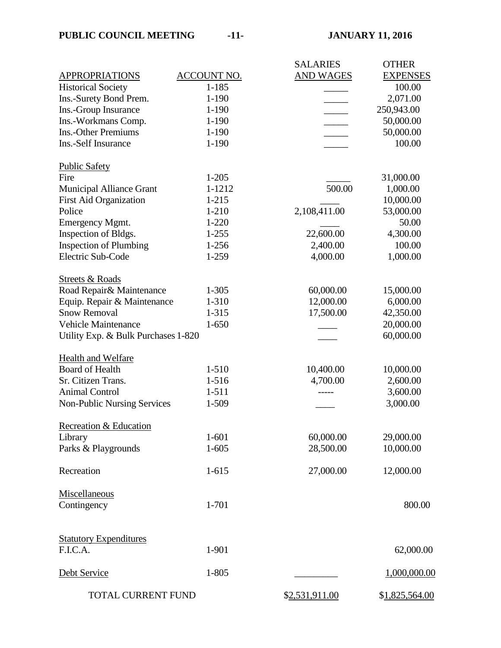|                                     |                    | <b>SALARIES</b>  | <b>OTHER</b>    |
|-------------------------------------|--------------------|------------------|-----------------|
| <b>APPROPRIATIONS</b>               | <b>ACCOUNT NO.</b> | <b>AND WAGES</b> | <b>EXPENSES</b> |
| <b>Historical Society</b>           | $1 - 185$          |                  | 100.00          |
| Ins.-Surety Bond Prem.              | $1 - 190$          |                  | 2,071.00        |
| Ins.-Group Insurance                | $1 - 190$          |                  | 250,943.00      |
| Ins.-Workmans Comp.                 | $1 - 190$          |                  | 50,000.00       |
| <b>Ins.-Other Premiums</b>          | $1 - 190$          |                  | 50,000.00       |
| Ins.-Self Insurance                 | $1 - 190$          |                  | 100.00          |
| <b>Public Safety</b>                |                    |                  |                 |
| Fire                                | $1 - 205$          |                  | 31,000.00       |
| <b>Municipal Alliance Grant</b>     | 1-1212             | 500.00           | 1,000.00        |
| <b>First Aid Organization</b>       | $1 - 215$          |                  | 10,000.00       |
| Police                              | $1 - 210$          | 2,108,411.00     | 53,000.00       |
| <b>Emergency Mgmt.</b>              | $1 - 220$          |                  | 50.00           |
| Inspection of Bldgs.                | $1 - 255$          | 22,600.00        | 4,300.00        |
| <b>Inspection of Plumbing</b>       | 1-256              | 2,400.00         | 100.00          |
| Electric Sub-Code                   | 1-259              | 4,000.00         | 1,000.00        |
| <b>Streets &amp; Roads</b>          |                    |                  |                 |
| Road Repair& Maintenance            | $1 - 305$          | 60,000.00        | 15,000.00       |
| Equip. Repair & Maintenance         | 1-310              | 12,000.00        | 6,000.00        |
| <b>Snow Removal</b>                 | 1-315              | 17,500.00        | 42,350.00       |
| <b>Vehicle Maintenance</b>          | $1 - 650$          |                  | 20,000.00       |
| Utility Exp. & Bulk Purchases 1-820 |                    |                  | 60,000.00       |
| <b>Health and Welfare</b>           |                    |                  |                 |
| <b>Board of Health</b>              | $1 - 510$          | 10,400.00        | 10,000.00       |
| Sr. Citizen Trans.                  | 1-516              | 4,700.00         | 2,600.00        |
| <b>Animal Control</b>               | $1 - 511$          |                  | 3,600.00        |
| <b>Non-Public Nursing Services</b>  | 1-509              |                  | 3,000.00        |
| Recreation & Education              |                    |                  |                 |
| Library                             | $1 - 601$          | 60,000.00        | 29,000.00       |
| Parks & Playgrounds                 | $1 - 605$          | 28,500.00        | 10,000.00       |
| Recreation                          | $1 - 615$          | 27,000.00        | 12,000.00       |
| Miscellaneous                       |                    |                  |                 |
| Contingency                         | 1-701              |                  | 800.00          |
| <b>Statutory Expenditures</b>       |                    |                  |                 |
| F.I.C.A.                            | 1-901              |                  | 62,000.00       |
| Debt Service                        | 1-805              |                  | 1,000,000.00    |
| TOTAL CURRENT FUND                  |                    | \$2,531,911.00   | \$1,825,564.00  |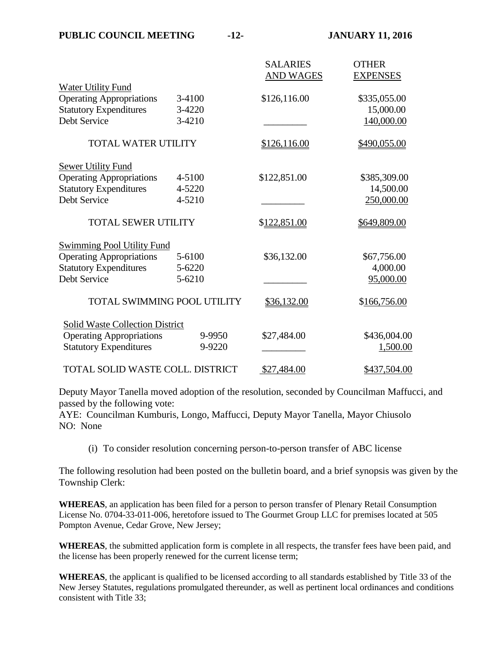|                                        |        | <b>SALARIES</b><br><b>AND WAGES</b> | <b>OTHER</b><br><b>EXPENSES</b> |
|----------------------------------------|--------|-------------------------------------|---------------------------------|
| <b>Water Utility Fund</b>              |        |                                     |                                 |
| <b>Operating Appropriations</b>        | 3-4100 | \$126,116.00                        | \$335,055.00                    |
| <b>Statutory Expenditures</b>          | 3-4220 |                                     | 15,000.00                       |
| Debt Service                           | 3-4210 |                                     | 140,000.00                      |
| <b>TOTAL WATER UTILITY</b>             |        | \$126,116.00                        | \$490,055.00                    |
| <b>Sewer Utility Fund</b>              |        |                                     |                                 |
| <b>Operating Appropriations</b>        | 4-5100 | \$122,851.00                        | \$385,309.00                    |
| <b>Statutory Expenditures</b>          | 4-5220 |                                     | 14,500.00                       |
| Debt Service                           | 4-5210 |                                     | 250,000.00                      |
| <b>TOTAL SEWER UTILITY</b>             |        | \$122,851.00                        | \$649,809.00                    |
| <b>Swimming Pool Utility Fund</b>      |        |                                     |                                 |
| <b>Operating Appropriations</b>        | 5-6100 | \$36,132.00                         | \$67,756.00                     |
| <b>Statutory Expenditures</b>          | 5-6220 |                                     | 4,000.00                        |
| Debt Service                           | 5-6210 |                                     | 95,000.00                       |
| <b>TOTAL SWIMMING POOL UTILITY</b>     |        | \$36,132.00                         | \$166,756.00                    |
| <b>Solid Waste Collection District</b> |        |                                     |                                 |
| <b>Operating Appropriations</b>        | 9-9950 | \$27,484.00                         | \$436,004.00                    |
| <b>Statutory Expenditures</b>          | 9-9220 |                                     | 1,500.00                        |
| TOTAL SOLID WASTE COLL. DISTRICT       |        | \$27,484.00                         | \$437,504.00                    |

Deputy Mayor Tanella moved adoption of the resolution, seconded by Councilman Maffucci, and passed by the following vote:

AYE: Councilman Kumburis, Longo, Maffucci, Deputy Mayor Tanella, Mayor Chiusolo NO: None

(i) To consider resolution concerning person-to-person transfer of ABC license

The following resolution had been posted on the bulletin board, and a brief synopsis was given by the Township Clerk:

**WHEREAS**, an application has been filed for a person to person transfer of Plenary Retail Consumption License No. 0704-33-011-006, heretofore issued to The Gourmet Group LLC for premises located at 505 Pompton Avenue, Cedar Grove, New Jersey;

**WHEREAS**, the submitted application form is complete in all respects, the transfer fees have been paid, and the license has been properly renewed for the current license term;

**WHEREAS**, the applicant is qualified to be licensed according to all standards established by Title 33 of the New Jersey Statutes, regulations promulgated thereunder, as well as pertinent local ordinances and conditions consistent with Title 33;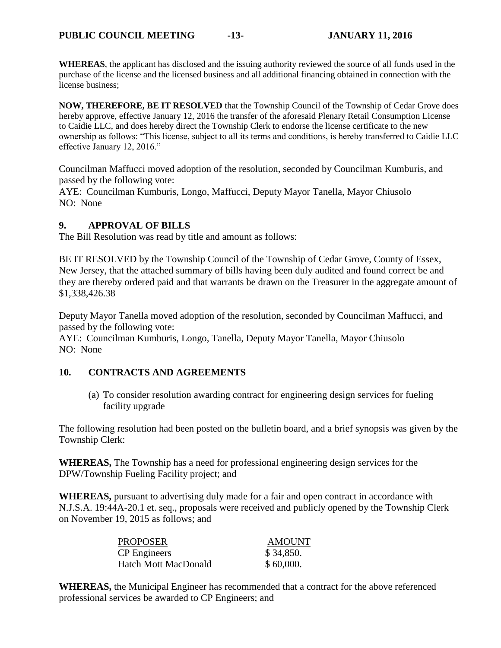**WHEREAS**, the applicant has disclosed and the issuing authority reviewed the source of all funds used in the purchase of the license and the licensed business and all additional financing obtained in connection with the license business;

**NOW, THEREFORE, BE IT RESOLVED** that the Township Council of the Township of Cedar Grove does hereby approve, effective January 12, 2016 the transfer of the aforesaid Plenary Retail Consumption License to Caidie LLC, and does hereby direct the Township Clerk to endorse the license certificate to the new ownership as follows: "This license, subject to all its terms and conditions, is hereby transferred to Caidie LLC effective January 12, 2016."

Councilman Maffucci moved adoption of the resolution, seconded by Councilman Kumburis, and passed by the following vote:

AYE: Councilman Kumburis, Longo, Maffucci, Deputy Mayor Tanella, Mayor Chiusolo NO: None

## **9. APPROVAL OF BILLS**

The Bill Resolution was read by title and amount as follows:

BE IT RESOLVED by the Township Council of the Township of Cedar Grove, County of Essex, New Jersey, that the attached summary of bills having been duly audited and found correct be and they are thereby ordered paid and that warrants be drawn on the Treasurer in the aggregate amount of \$1,338,426.38

Deputy Mayor Tanella moved adoption of the resolution, seconded by Councilman Maffucci, and passed by the following vote:

AYE: Councilman Kumburis, Longo, Tanella, Deputy Mayor Tanella, Mayor Chiusolo NO: None

#### **10. CONTRACTS AND AGREEMENTS**

(a) To consider resolution awarding contract for engineering design services for fueling facility upgrade

The following resolution had been posted on the bulletin board, and a brief synopsis was given by the Township Clerk:

**WHEREAS,** The Township has a need for professional engineering design services for the DPW/Township Fueling Facility project; and

**WHEREAS,** pursuant to advertising duly made for a fair and open contract in accordance with N.J.S.A. 19:44A-20.1 et. seq., proposals were received and publicly opened by the Township Clerk on November 19, 2015 as follows; and

| PROPOSER             | AMOUNT    |
|----------------------|-----------|
| <b>CP</b> Engineers  | \$34,850. |
| Hatch Mott MacDonald | \$60,000. |

**WHEREAS,** the Municipal Engineer has recommended that a contract for the above referenced professional services be awarded to CP Engineers; and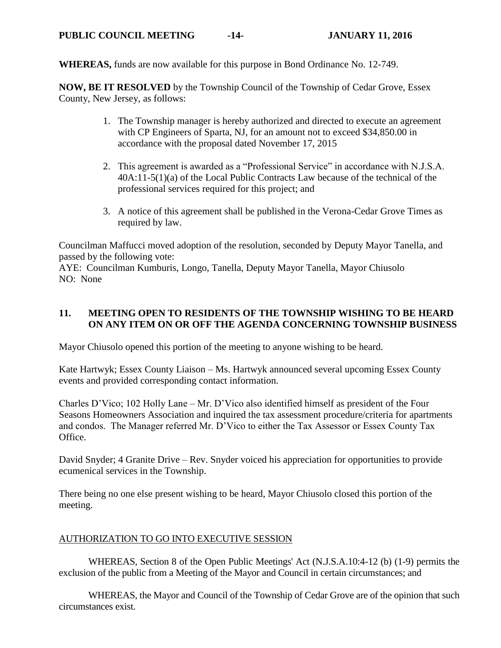**WHEREAS,** funds are now available for this purpose in Bond Ordinance No. 12-749.

**NOW, BE IT RESOLVED** by the Township Council of the Township of Cedar Grove, Essex County, New Jersey, as follows:

- 1. The Township manager is hereby authorized and directed to execute an agreement with CP Engineers of Sparta, NJ, for an amount not to exceed \$34,850.00 in accordance with the proposal dated November 17, 2015
- 2. This agreement is awarded as a "Professional Service" in accordance with N.J.S.A. 40A:11-5(1)(a) of the Local Public Contracts Law because of the technical of the professional services required for this project; and
- 3. A notice of this agreement shall be published in the Verona-Cedar Grove Times as required by law.

Councilman Maffucci moved adoption of the resolution, seconded by Deputy Mayor Tanella, and passed by the following vote:

AYE: Councilman Kumburis, Longo, Tanella, Deputy Mayor Tanella, Mayor Chiusolo NO: None

## **11. MEETING OPEN TO RESIDENTS OF THE TOWNSHIP WISHING TO BE HEARD ON ANY ITEM ON OR OFF THE AGENDA CONCERNING TOWNSHIP BUSINESS**

Mayor Chiusolo opened this portion of the meeting to anyone wishing to be heard.

Kate Hartwyk; Essex County Liaison – Ms. Hartwyk announced several upcoming Essex County events and provided corresponding contact information.

Charles D'Vico; 102 Holly Lane – Mr. D'Vico also identified himself as president of the Four Seasons Homeowners Association and inquired the tax assessment procedure/criteria for apartments and condos. The Manager referred Mr. D'Vico to either the Tax Assessor or Essex County Tax Office.

David Snyder; 4 Granite Drive – Rev. Snyder voiced his appreciation for opportunities to provide ecumenical services in the Township.

There being no one else present wishing to be heard, Mayor Chiusolo closed this portion of the meeting.

## AUTHORIZATION TO GO INTO EXECUTIVE SESSION

WHEREAS, Section 8 of the Open Public Meetings' Act (N.J.S.A.10:4-12 (b) (1-9) permits the exclusion of the public from a Meeting of the Mayor and Council in certain circumstances; and

WHEREAS, the Mayor and Council of the Township of Cedar Grove are of the opinion that such circumstances exist.